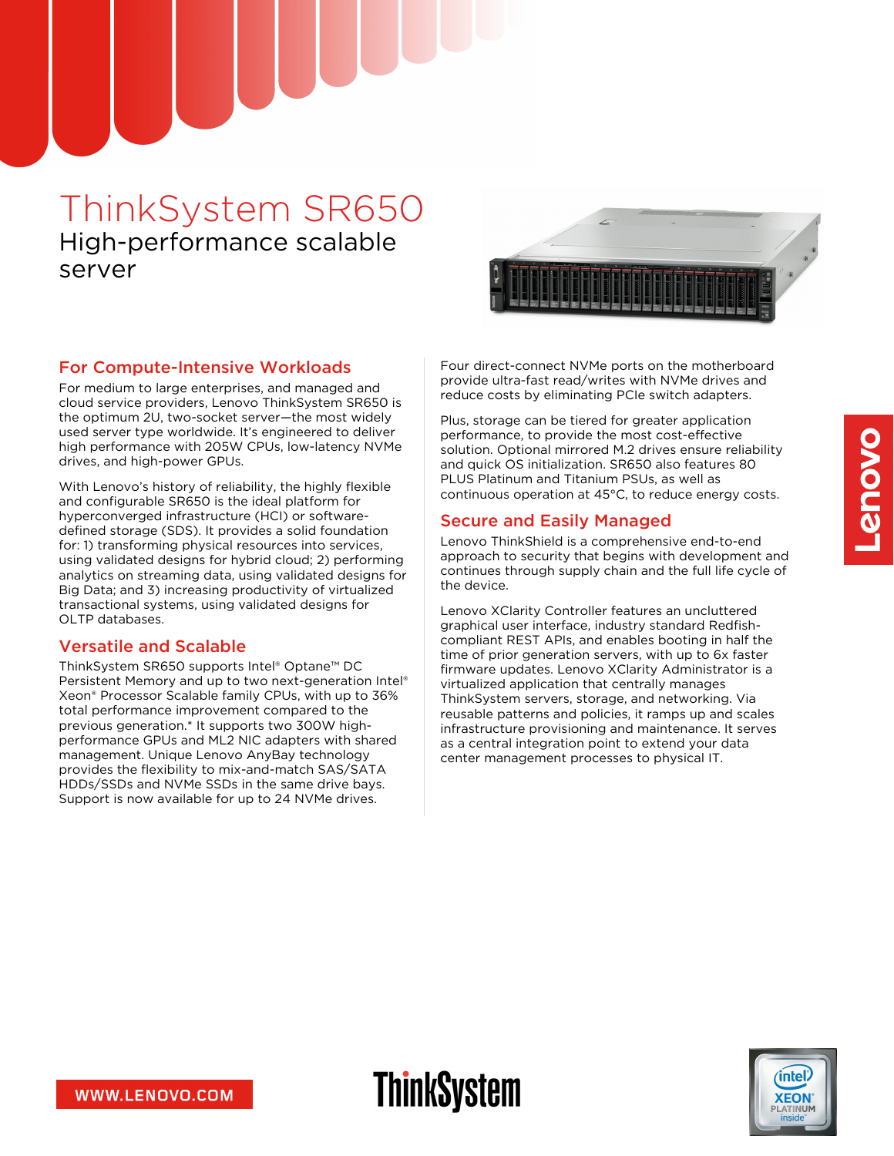# ThinkSystem SR650 High-performance scalable server



#### For Compute-Intensive Workloads

For medium to large enterprises, and managed and cloud service providers, Lenovo ThinkSystem SR650 is the optimum 2U, two-socket server—the most widely used server type worldwide. It's engineered to deliver high performance with 205W CPUs, low-latency NVMe drives, and high-power GPUs.

With Lenovo's history of reliability, the highly flexible and configurable SR650 is the ideal platform for hyperconverged infrastructure (HCI) or softwaredefined storage (SDS). It provides a solid foundation for: 1) transforming physical resources into services, using validated designs for hybrid cloud; 2) performing analytics on streaming data, using validated designs for Big Data; and 3) increasing productivity of virtualized transactional systems, using validated designs for OLTP databases.

# Versatile and Scalable

ThinkSystem SR650 supports Intel® Optane™ DC Persistent Memory and up to two next-generation Intel® Xeon® Processor Scalable family CPUs, with up to 36% total performance improvement compared to the previous generation.\* It supports two 300W highperformance GPUs and ML2 NIC adapters with shared management. Unique Lenovo AnyBay technology provides the flexibility to mix-and-match SAS/SATA HDDs/SSDs and NVMe SSDs in the same drive bays. Support is now available for up to 24 NVMe drives.

Four direct-connect NVMe ports on the motherboard provide ultra-fast read/writes with NVMe drives and reduce costs by eliminating PCIe switch adapters.

Plus, storage can be tiered for greater application performance, to provide the most cost-effective solution. Optional mirrored M.2 drives ensure reliability and quick OS initialization. SR650 also features 80 PLUS Platinum and Titanium PSUs, as well as continuous operation at 45°C, to reduce energy costs.

#### Secure and Easily Managed

Lenovo ThinkShield is a comprehensive end-to-end approach to security that begins with development and continues through supply chain and the full life cycle of the device.

Lenovo XClarity Controller features an uncluttered graphical user interface, industry standard Redfishcompliant REST APIs, and enables booting in half the time of prior generation servers, with up to 6x faster firmware updates. Lenovo XClarity Administrator is a virtualized application that centrally manages ThinkSystem servers, storage, and networking. Via reusable patterns and policies, it ramps up and scales infrastructure provisioning and maintenance. It serves as a central integration point to extend your data center management processes to physical IT.



**ThinkSystem**